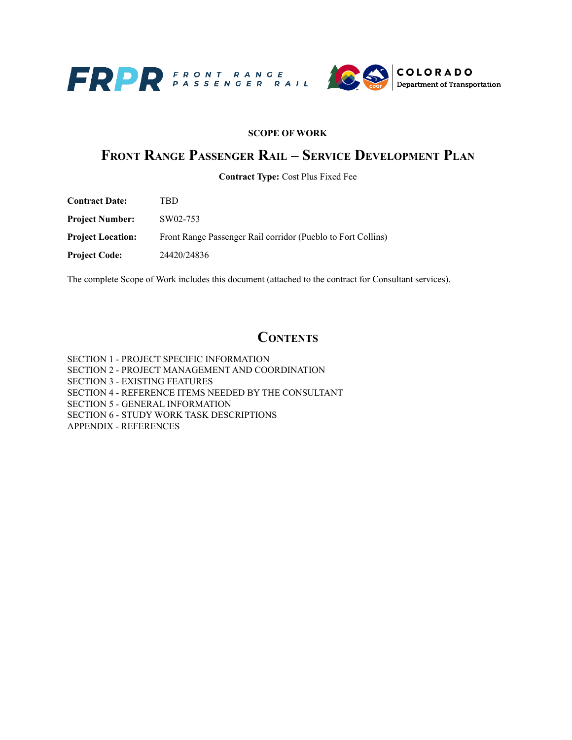

#### **SCOPE OF WORK**

### **FRONT RANGE PASSENGER RAIL – SERVICE DEVELOPMENT PLAN**

**Contract Type:** Cost Plus Fixed Fee

| <b>Contract Date:</b>    | TBD                                                          |
|--------------------------|--------------------------------------------------------------|
| <b>Project Number:</b>   | SW02-753                                                     |
| <b>Project Location:</b> | Front Range Passenger Rail corridor (Pueblo to Fort Collins) |
| <b>Project Code:</b>     | 24420/24836                                                  |
|                          |                                                              |

The complete Scope of Work includes this document (attached to the contract for Consultant services).

### **CONTENTS**

SECTION 1 - PROJECT SPECIFIC INFORMATION SECTION 2 - PROJECT MANAGEMENT AND COORDINATION SECTION 3 - EXISTING FEATURES SECTION 4 - REFERENCE ITEMS NEEDED BY THE CONSULTANT SECTION 5 - GENERAL INFORMATION SECTION 6 - STUDY WORK TASK DESCRIPTIONS APPENDIX - REFERENCES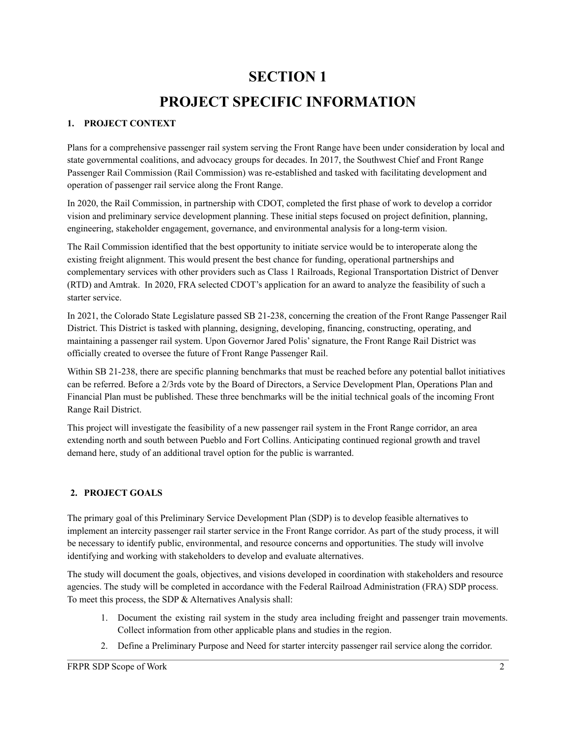# **SECTION 1 PROJECT SPECIFIC INFORMATION**

#### **1. PROJECT CONTEXT**

Plans for a comprehensive passenger rail system serving the Front Range have been under consideration by local and state governmental coalitions, and advocacy groups for decades. In 2017, the Southwest Chief and Front Range Passenger Rail Commission (Rail Commission) was re-established and tasked with facilitating development and operation of passenger rail service along the Front Range.

In 2020, the Rail Commission, in partnership with CDOT, completed the first phase of work to develop a corridor vision and preliminary service development planning. These initial steps focused on project definition, planning, engineering, stakeholder engagement, governance, and environmental analysis for a long-term vision.

The Rail Commission identified that the best opportunity to initiate service would be to interoperate along the existing freight alignment. This would present the best chance for funding, operational partnerships and complementary services with other providers such as Class 1 Railroads, Regional Transportation District of Denver (RTD) and Amtrak. In 2020, FRA selected CDOT's application for an award to analyze the feasibility of such a starter service.

In 2021, the Colorado State Legislature passed SB 21-238, concerning the creation of the Front Range Passenger Rail District. This District is tasked with planning, designing, developing, financing, constructing, operating, and maintaining a passenger rail system. Upon Governor Jared Polis'signature, the Front Range Rail District was officially created to oversee the future of Front Range Passenger Rail.

Within SB 21-238, there are specific planning benchmarks that must be reached before any potential ballot initiatives can be referred. Before a 2/3rds vote by the Board of Directors, a Service Development Plan, Operations Plan and Financial Plan must be published. These three benchmarks will be the initial technical goals of the incoming Front Range Rail District.

This project will investigate the feasibility of a new passenger rail system in the Front Range corridor, an area extending north and south between Pueblo and Fort Collins. Anticipating continued regional growth and travel demand here, study of an additional travel option for the public is warranted.

#### **2. PROJECT GOALS**

The primary goal of this Preliminary Service Development Plan (SDP) is to develop feasible alternatives to implement an intercity passenger rail starter service in the Front Range corridor. As part of the study process, it will be necessary to identify public, environmental, and resource concerns and opportunities. The study will involve identifying and working with stakeholders to develop and evaluate alternatives.

The study will document the goals, objectives, and visions developed in coordination with stakeholders and resource agencies. The study will be completed in accordance with the Federal Railroad Administration (FRA) SDP process. To meet this process, the SDP & Alternatives Analysis shall:

- 1. Document the existing rail system in the study area including freight and passenger train movements. Collect information from other applicable plans and studies in the region.
- 2. Define a Preliminary Purpose and Need for starter intercity passenger rail service along the corridor.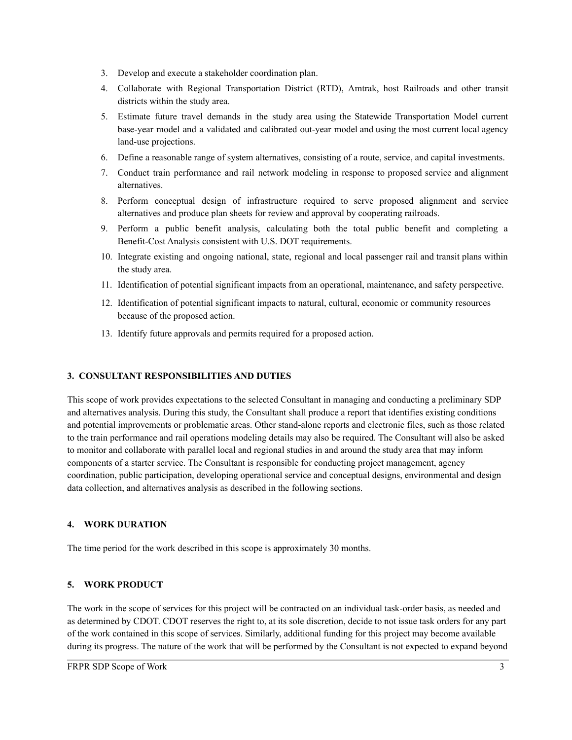- 3. Develop and execute a stakeholder coordination plan.
- 4. Collaborate with Regional Transportation District (RTD), Amtrak, host Railroads and other transit districts within the study area.
- 5. Estimate future travel demands in the study area using the Statewide Transportation Model current base-year model and a validated and calibrated out-year model and using the most current local agency land-use projections.
- 6. Define a reasonable range of system alternatives, consisting of a route, service, and capital investments.
- 7. Conduct train performance and rail network modeling in response to proposed service and alignment alternatives.
- 8. Perform conceptual design of infrastructure required to serve proposed alignment and service alternatives and produce plan sheets for review and approval by cooperating railroads.
- 9. Perform a public benefit analysis, calculating both the total public benefit and completing a Benefit-Cost Analysis consistent with U.S. DOT requirements.
- 10. Integrate existing and ongoing national, state, regional and local passenger rail and transit plans within the study area.
- 11. Identification of potential significant impacts from an operational, maintenance, and safety perspective.
- 12. Identification of potential significant impacts to natural, cultural, economic or community resources because of the proposed action.
- 13. Identify future approvals and permits required for a proposed action.

#### **3. CONSULTANT RESPONSIBILITIES AND DUTIES**

This scope of work provides expectations to the selected Consultant in managing and conducting a preliminary SDP and alternatives analysis. During this study, the Consultant shall produce a report that identifies existing conditions and potential improvements or problematic areas. Other stand-alone reports and electronic files, such as those related to the train performance and rail operations modeling details may also be required. The Consultant will also be asked to monitor and collaborate with parallel local and regional studies in and around the study area that may inform components of a starter service. The Consultant is responsible for conducting project management, agency coordination, public participation, developing operational service and conceptual designs, environmental and design data collection, and alternatives analysis as described in the following sections.

#### **4. WORK DURATION**

The time period for the work described in this scope is approximately 30 months.

#### **5. WORK PRODUCT**

The work in the scope of services for this project will be contracted on an individual task-order basis, as needed and as determined by CDOT. CDOT reserves the right to, at its sole discretion, decide to not issue task orders for any part of the work contained in this scope of services. Similarly, additional funding for this project may become available during its progress. The nature of the work that will be performed by the Consultant is not expected to expand beyond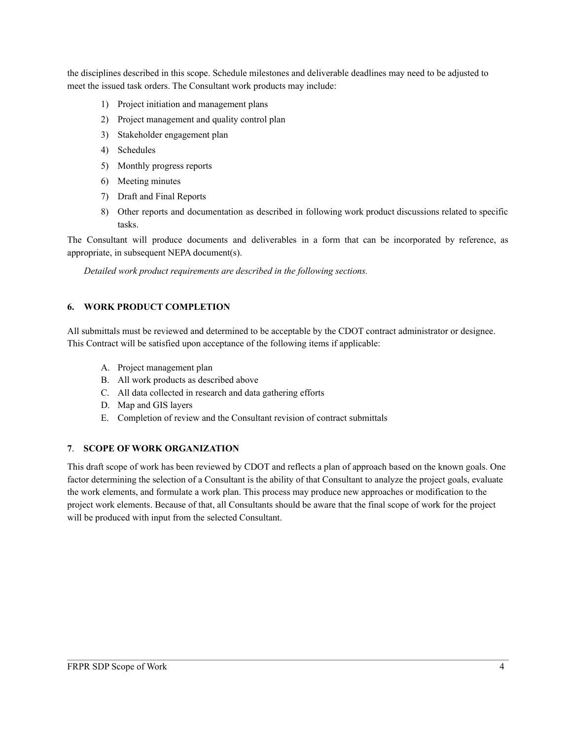the disciplines described in this scope. Schedule milestones and deliverable deadlines may need to be adjusted to meet the issued task orders. The Consultant work products may include:

- 1) Project initiation and management plans
- 2) Project management and quality control plan
- 3) Stakeholder engagement plan
- 4) Schedules
- 5) Monthly progress reports
- 6) Meeting minutes
- 7) Draft and Final Reports
- 8) Other reports and documentation as described in following work product discussions related to specific tasks.

The Consultant will produce documents and deliverables in a form that can be incorporated by reference, as appropriate, in subsequent NEPA document(s).

*Detailed work product requirements are described in the following sections.*

#### **6. WORK PRODUCT COMPLETION**

All submittals must be reviewed and determined to be acceptable by the CDOT contract administrator or designee. This Contract will be satisfied upon acceptance of the following items if applicable:

- A. Project management plan
- B. All work products as described above
- C. All data collected in research and data gathering efforts
- D. Map and GIS layers
- E. Completion of review and the Consultant revision of contract submittals

#### **7**. **SCOPE OF WORK ORGANIZATION**

This draft scope of work has been reviewed by CDOT and reflects a plan of approach based on the known goals. One factor determining the selection of a Consultant is the ability of that Consultant to analyze the project goals, evaluate the work elements, and formulate a work plan. This process may produce new approaches or modification to the project work elements. Because of that, all Consultants should be aware that the final scope of work for the project will be produced with input from the selected Consultant.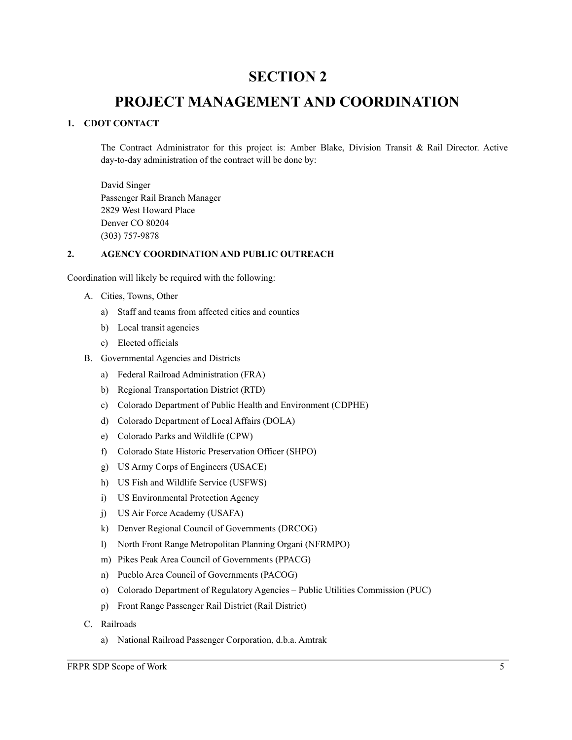### **SECTION 2**

### **PROJECT MANAGEMENT AND COORDINATION**

#### **1. CDOT CONTACT**

The Contract Administrator for this project is: Amber Blake, Division Transit & Rail Director. Active day-to-day administration of the contract will be done by:

David Singer Passenger Rail Branch Manager 2829 West Howard Place Denver CO 80204 (303) 757-9878

#### **2. AGENCY COORDINATION AND PUBLIC OUTREACH**

Coordination will likely be required with the following:

- A. Cities, Towns, Other
	- a) Staff and teams from affected cities and counties
	- b) Local transit agencies
	- c) Elected officials
- B. Governmental Agencies and Districts
	- a) Federal Railroad Administration (FRA)
	- b) Regional Transportation District (RTD)
	- c) Colorado Department of Public Health and Environment (CDPHE)
	- d) Colorado Department of Local Affairs (DOLA)
	- e) Colorado Parks and Wildlife (CPW)
	- f) Colorado State Historic Preservation Officer (SHPO)
	- g) US Army Corps of Engineers (USACE)
	- h) US Fish and Wildlife Service (USFWS)
	- i) US Environmental Protection Agency
	- j) US Air Force Academy (USAFA)
	- k) Denver Regional Council of Governments (DRCOG)
	- l) North Front Range Metropolitan Planning Organi (NFRMPO)
	- m) Pikes Peak Area Council of Governments (PPACG)
	- n) Pueblo Area Council of Governments (PACOG)
	- o) Colorado Department of Regulatory Agencies Public Utilities Commission (PUC)
	- p) Front Range Passenger Rail District (Rail District)
- C. Railroads
	- a) National Railroad Passenger Corporation, d.b.a. Amtrak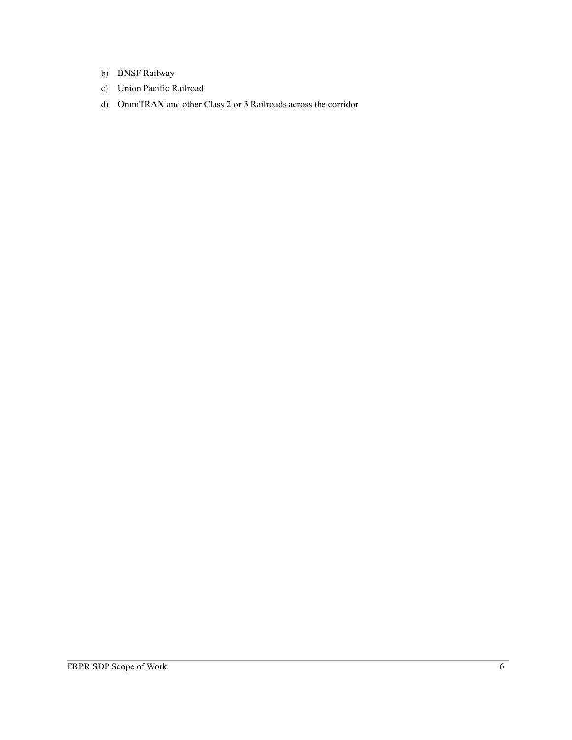- b) BNSF Railway
- c) Union Pacific Railroad
- d) OmniTRAX and other Class 2 or 3 Railroads across the corridor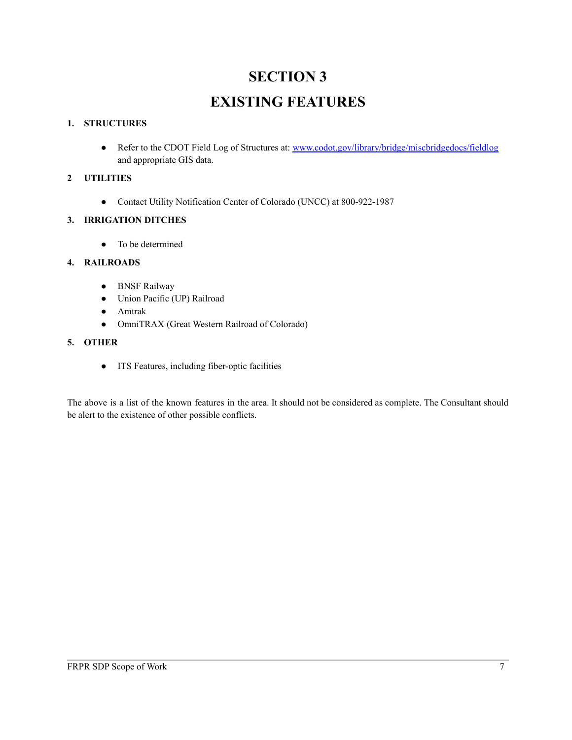# **SECTION 3 EXISTING FEATURES**

#### **1. STRUCTURES**

• Refer to the CDOT Field Log of Structures at: [www.codot.gov/library/bridge/miscbridgedocs/fieldlog](http://www.codot.gov/library/bridge/miscbridgedocs/fieldlog) and appropriate GIS data.

#### **2 UTILITIES**

● Contact Utility Notification Center of Colorado (UNCC) at 800-922-1987

#### **3. IRRIGATION DITCHES**

• To be determined

#### **4. RAILROADS**

- BNSF Railway
- Union Pacific (UP) Railroad
- Amtrak
- OmniTRAX (Great Western Railroad of Colorado)

#### **5. OTHER**

● ITS Features, including fiber-optic facilities

The above is a list of the known features in the area. It should not be considered as complete. The Consultant should be alert to the existence of other possible conflicts.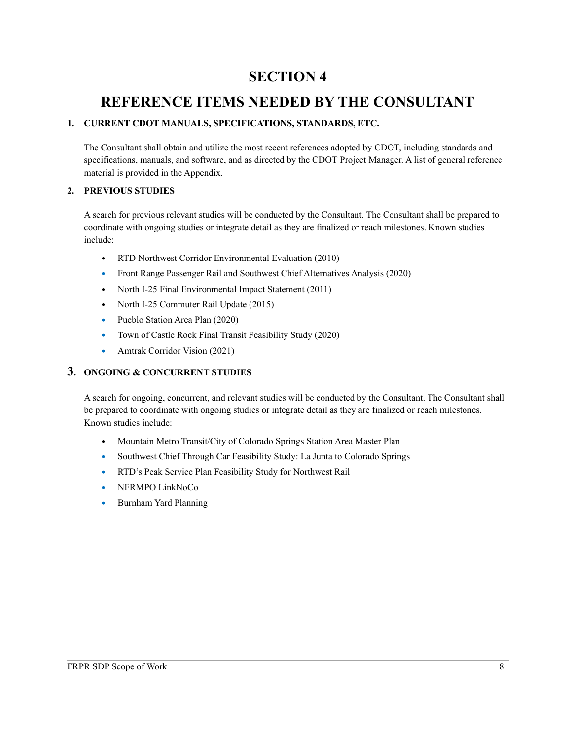### **SECTION 4**

### **REFERENCE ITEMS NEEDED BY THE CONSULTANT**

#### **1. CURRENT CDOT MANUALS, SPECIFICATIONS, STANDARDS, ETC.**

The Consultant shall obtain and utilize the most recent references adopted by CDOT, including standards and specifications, manuals, and software, and as directed by the CDOT Project Manager. A list of general reference material is provided in the Appendix.

#### **2. PREVIOUS STUDIES**

A search for previous relevant studies will be conducted by the Consultant. The Consultant shall be prepared to coordinate with ongoing studies or integrate detail as they are finalized or reach milestones. Known studies include:

- RTD Northwest Corridor Environmental Evaluation (2010)
- **•** Front Range Passenger Rail and Southwest Chief Alternatives Analysis (2020)
- North I-25 Final Environmental Impact Statement (2011)
- North I-25 Commuter Rail Update (2015)
- **•** Pueblo Station Area Plan (2020)
- **•** Town of Castle Rock Final Transit Feasibility Study (2020)
- Amtrak Corridor Vision (2021)

#### **3. ONGOING & CONCURRENT STUDIES**

A search for ongoing, concurrent, and relevant studies will be conducted by the Consultant. The Consultant shall be prepared to coordinate with ongoing studies or integrate detail as they are finalized or reach milestones. Known studies include:

- Mountain Metro Transit/City of Colorado Springs Station Area Master Plan
- **•** Southwest Chief Through Car Feasibility Study: La Junta to Colorado Springs
- **•** RTD's Peak Service Plan Feasibility Study for Northwest Rail
- **•** NFRMPO LinkNoCo
- **•** Burnham Yard Planning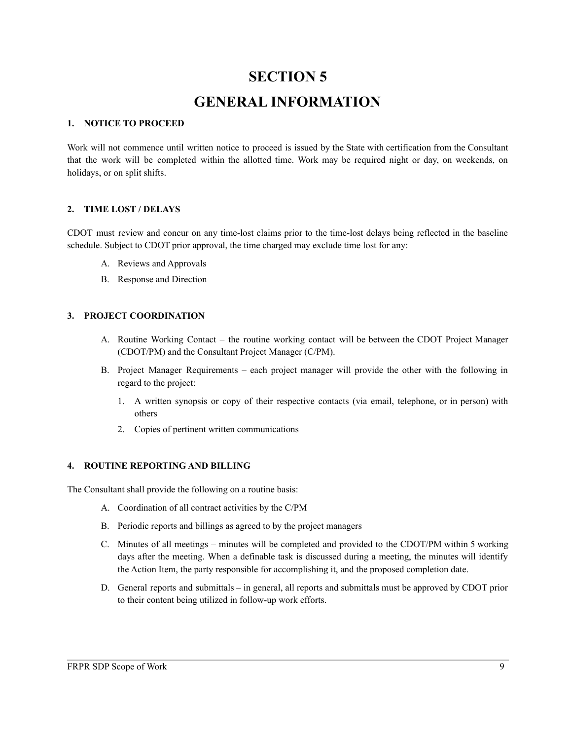# **SECTION 5 GENERAL INFORMATION**

#### **1. NOTICE TO PROCEED**

Work will not commence until written notice to proceed is issued by the State with certification from the Consultant that the work will be completed within the allotted time. Work may be required night or day, on weekends, on holidays, or on split shifts.

#### **2. TIME LOST / DELAYS**

CDOT must review and concur on any time-lost claims prior to the time-lost delays being reflected in the baseline schedule. Subject to CDOT prior approval, the time charged may exclude time lost for any:

- A. Reviews and Approvals
- B. Response and Direction

#### **3. PROJECT COORDINATION**

- A. Routine Working Contact the routine working contact will be between the CDOT Project Manager (CDOT/PM) and the Consultant Project Manager (C/PM).
- B. Project Manager Requirements each project manager will provide the other with the following in regard to the project:
	- 1. A written synopsis or copy of their respective contacts (via email, telephone, or in person) with others
	- 2. Copies of pertinent written communications

#### **4. ROUTINE REPORTING AND BILLING**

The Consultant shall provide the following on a routine basis:

- A. Coordination of all contract activities by the C/PM
- B. Periodic reports and billings as agreed to by the project managers
- C. Minutes of all meetings minutes will be completed and provided to the CDOT/PM within 5 working days after the meeting. When a definable task is discussed during a meeting, the minutes will identify the Action Item, the party responsible for accomplishing it, and the proposed completion date.
- D. General reports and submittals in general, all reports and submittals must be approved by CDOT prior to their content being utilized in follow-up work efforts.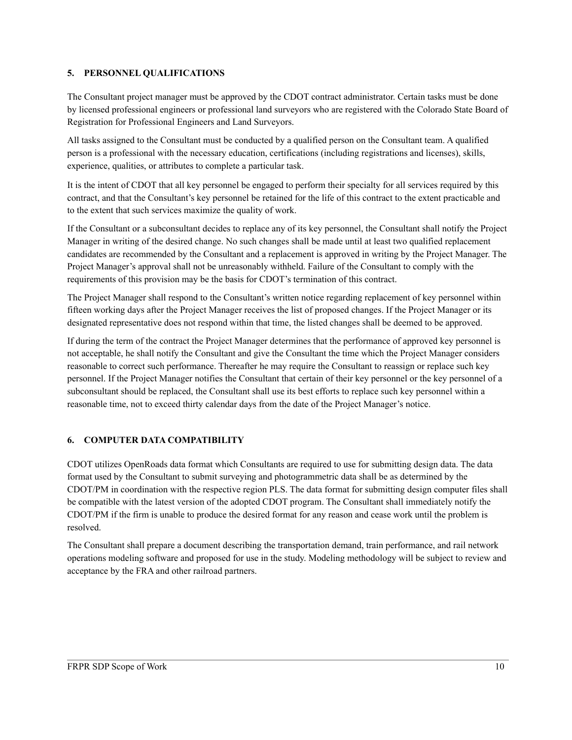#### **5. PERSONNEL QUALIFICATIONS**

The Consultant project manager must be approved by the CDOT contract administrator. Certain tasks must be done by licensed professional engineers or professional land surveyors who are registered with the Colorado State Board of Registration for Professional Engineers and Land Surveyors.

All tasks assigned to the Consultant must be conducted by a qualified person on the Consultant team. A qualified person is a professional with the necessary education, certifications (including registrations and licenses), skills, experience, qualities, or attributes to complete a particular task.

It is the intent of CDOT that all key personnel be engaged to perform their specialty for all services required by this contract, and that the Consultant's key personnel be retained for the life of this contract to the extent practicable and to the extent that such services maximize the quality of work.

If the Consultant or a subconsultant decides to replace any of its key personnel, the Consultant shall notify the Project Manager in writing of the desired change. No such changes shall be made until at least two qualified replacement candidates are recommended by the Consultant and a replacement is approved in writing by the Project Manager. The Project Manager's approval shall not be unreasonably withheld. Failure of the Consultant to comply with the requirements of this provision may be the basis for CDOT's termination of this contract.

The Project Manager shall respond to the Consultant's written notice regarding replacement of key personnel within fifteen working days after the Project Manager receives the list of proposed changes. If the Project Manager or its designated representative does not respond within that time, the listed changes shall be deemed to be approved.

If during the term of the contract the Project Manager determines that the performance of approved key personnel is not acceptable, he shall notify the Consultant and give the Consultant the time which the Project Manager considers reasonable to correct such performance. Thereafter he may require the Consultant to reassign or replace such key personnel. If the Project Manager notifies the Consultant that certain of their key personnel or the key personnel of a subconsultant should be replaced, the Consultant shall use its best efforts to replace such key personnel within a reasonable time, not to exceed thirty calendar days from the date of the Project Manager's notice.

#### **6. COMPUTER DATA COMPATIBILITY**

CDOT utilizes OpenRoads data format which Consultants are required to use for submitting design data. The data format used by the Consultant to submit surveying and photogrammetric data shall be as determined by the CDOT/PM in coordination with the respective region PLS. The data format for submitting design computer files shall be compatible with the latest version of the adopted CDOT program. The Consultant shall immediately notify the CDOT/PM if the firm is unable to produce the desired format for any reason and cease work until the problem is resolved.

The Consultant shall prepare a document describing the transportation demand, train performance, and rail network operations modeling software and proposed for use in the study. Modeling methodology will be subject to review and acceptance by the FRA and other railroad partners.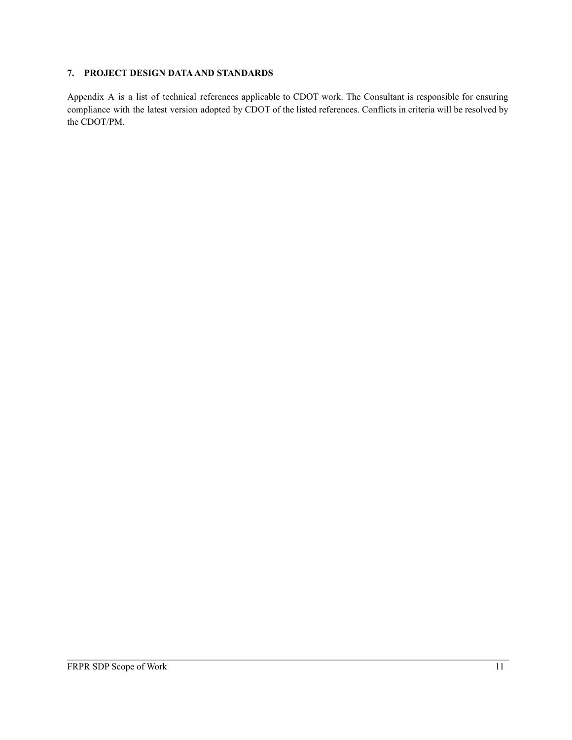#### **7. PROJECT DESIGN DATAAND STANDARDS**

Appendix A is a list of technical references applicable to CDOT work. The Consultant is responsible for ensuring compliance with the latest version adopted by CDOT of the listed references. Conflicts in criteria will be resolved by the CDOT/PM.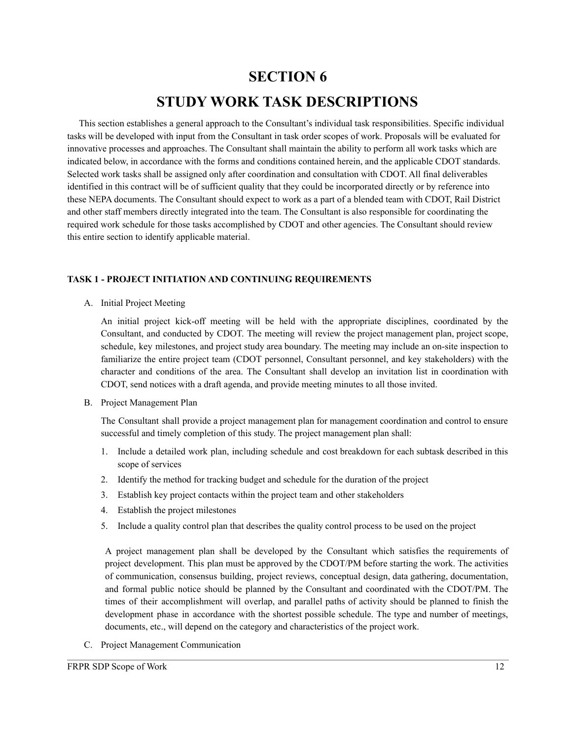# **SECTION 6 STUDY WORK TASK DESCRIPTIONS**

This section establishes a general approach to the Consultant's individual task responsibilities. Specific individual tasks will be developed with input from the Consultant in task order scopes of work. Proposals will be evaluated for innovative processes and approaches. The Consultant shall maintain the ability to perform all work tasks which are indicated below, in accordance with the forms and conditions contained herein, and the applicable CDOT standards. Selected work tasks shall be assigned only after coordination and consultation with CDOT. All final deliverables identified in this contract will be of sufficient quality that they could be incorporated directly or by reference into these NEPA documents. The Consultant should expect to work as a part of a blended team with CDOT, Rail District and other staff members directly integrated into the team. The Consultant is also responsible for coordinating the required work schedule for those tasks accomplished by CDOT and other agencies. The Consultant should review this entire section to identify applicable material.

#### **TASK 1 - PROJECT INITIATION AND CONTINUING REQUIREMENTS**

A. Initial Project Meeting

An initial project kick-off meeting will be held with the appropriate disciplines, coordinated by the Consultant, and conducted by CDOT. The meeting will review the project management plan, project scope, schedule, key milestones, and project study area boundary. The meeting may include an on-site inspection to familiarize the entire project team (CDOT personnel, Consultant personnel, and key stakeholders) with the character and conditions of the area. The Consultant shall develop an invitation list in coordination with CDOT, send notices with a draft agenda, and provide meeting minutes to all those invited.

B. Project Management Plan

The Consultant shall provide a project management plan for management coordination and control to ensure successful and timely completion of this study. The project management plan shall:

- 1. Include a detailed work plan, including schedule and cost breakdown for each subtask described in this scope of services
- 2. Identify the method for tracking budget and schedule for the duration of the project
- 3. Establish key project contacts within the project team and other stakeholders
- 4. Establish the project milestones
- 5. Include a quality control plan that describes the quality control process to be used on the project

A project management plan shall be developed by the Consultant which satisfies the requirements of project development. This plan must be approved by the CDOT/PM before starting the work. The activities of communication, consensus building, project reviews, conceptual design, data gathering, documentation, and formal public notice should be planned by the Consultant and coordinated with the CDOT/PM. The times of their accomplishment will overlap, and parallel paths of activity should be planned to finish the development phase in accordance with the shortest possible schedule. The type and number of meetings, documents, etc., will depend on the category and characteristics of the project work.

C. Project Management Communication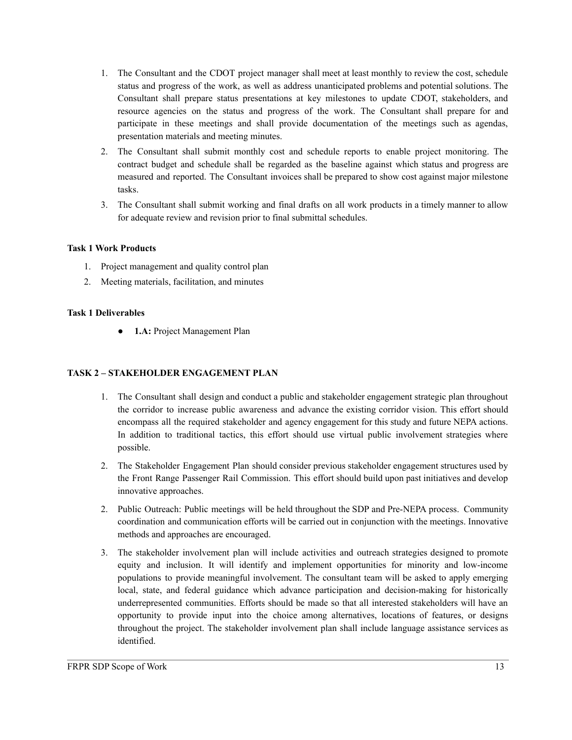- 1. The Consultant and the CDOT project manager shall meet at least monthly to review the cost, schedule status and progress of the work, as well as address unanticipated problems and potential solutions. The Consultant shall prepare status presentations at key milestones to update CDOT, stakeholders, and resource agencies on the status and progress of the work. The Consultant shall prepare for and participate in these meetings and shall provide documentation of the meetings such as agendas, presentation materials and meeting minutes.
- 2. The Consultant shall submit monthly cost and schedule reports to enable project monitoring. The contract budget and schedule shall be regarded as the baseline against which status and progress are measured and reported. The Consultant invoices shall be prepared to show cost against major milestone tasks.
- 3. The Consultant shall submit working and final drafts on all work products in a timely manner to allow for adequate review and revision prior to final submittal schedules.

#### **Task 1 Work Products**

- 1. Project management and quality control plan
- 2. Meeting materials, facilitation, and minutes

#### **Task 1 Deliverables**

● **1.A:** Project Management Plan

#### **TASK 2 – STAKEHOLDER ENGAGEMENT PLAN**

- 1. The Consultant shall design and conduct a public and stakeholder engagement strategic plan throughout the corridor to increase public awareness and advance the existing corridor vision. This effort should encompass all the required stakeholder and agency engagement for this study and future NEPA actions. In addition to traditional tactics, this effort should use virtual public involvement strategies where possible.
- 2. The Stakeholder Engagement Plan should consider previous stakeholder engagement structures used by the Front Range Passenger Rail Commission. This effort should build upon past initiatives and develop innovative approaches.
- 2. Public Outreach: Public meetings will be held throughout the SDP and Pre-NEPA process. Community coordination and communication efforts will be carried out in conjunction with the meetings. Innovative methods and approaches are encouraged.
- 3. The stakeholder involvement plan will include activities and outreach strategies designed to promote equity and inclusion. It will identify and implement opportunities for minority and low-income populations to provide meaningful involvement. The consultant team will be asked to apply emerging local, state, and federal guidance which advance participation and decision-making for historically underrepresented communities. Efforts should be made so that all interested stakeholders will have an opportunity to provide input into the choice among alternatives, locations of features, or designs throughout the project. The stakeholder involvement plan shall include language assistance services as identified.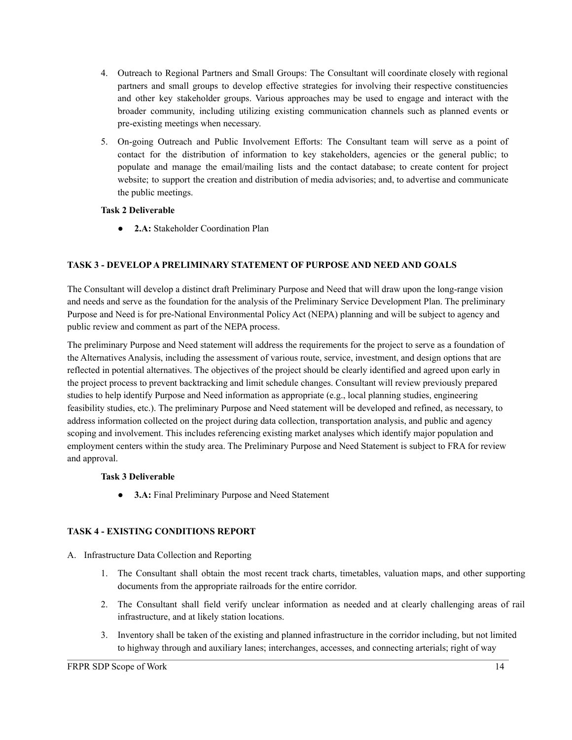- 4. Outreach to Regional Partners and Small Groups: The Consultant will coordinate closely with regional partners and small groups to develop effective strategies for involving their respective constituencies and other key stakeholder groups. Various approaches may be used to engage and interact with the broader community, including utilizing existing communication channels such as planned events or pre-existing meetings when necessary.
- 5. On-going Outreach and Public Involvement Efforts: The Consultant team will serve as a point of contact for the distribution of information to key stakeholders, agencies or the general public; to populate and manage the email/mailing lists and the contact database; to create content for project website; to support the creation and distribution of media advisories; and, to advertise and communicate the public meetings.

#### **Task 2 Deliverable**

● **2.A:** Stakeholder Coordination Plan

#### **TASK 3 - DEVELOPA PRELIMINARY STATEMENT OF PURPOSE AND NEED AND GOALS**

The Consultant will develop a distinct draft Preliminary Purpose and Need that will draw upon the long-range vision and needs and serve as the foundation for the analysis of the Preliminary Service Development Plan. The preliminary Purpose and Need is for pre-National Environmental Policy Act (NEPA) planning and will be subject to agency and public review and comment as part of the NEPA process.

The preliminary Purpose and Need statement will address the requirements for the project to serve as a foundation of the Alternatives Analysis, including the assessment of various route, service, investment, and design options that are reflected in potential alternatives. The objectives of the project should be clearly identified and agreed upon early in the project process to prevent backtracking and limit schedule changes. Consultant will review previously prepared studies to help identify Purpose and Need information as appropriate (e.g., local planning studies, engineering feasibility studies, etc.). The preliminary Purpose and Need statement will be developed and refined, as necessary, to address information collected on the project during data collection, transportation analysis, and public and agency scoping and involvement. This includes referencing existing market analyses which identify major population and employment centers within the study area. The Preliminary Purpose and Need Statement is subject to FRA for review and approval.

#### **Task 3 Deliverable**

● **3.A:** Final Preliminary Purpose and Need Statement

#### **TASK 4 - EXISTING CONDITIONS REPORT**

- A. Infrastructure Data Collection and Reporting
	- 1. The Consultant shall obtain the most recent track charts, timetables, valuation maps, and other supporting documents from the appropriate railroads for the entire corridor.
	- 2. The Consultant shall field verify unclear information as needed and at clearly challenging areas of rail infrastructure, and at likely station locations.
	- 3. Inventory shall be taken of the existing and planned infrastructure in the corridor including, but not limited to highway through and auxiliary lanes; interchanges, accesses, and connecting arterials; right of way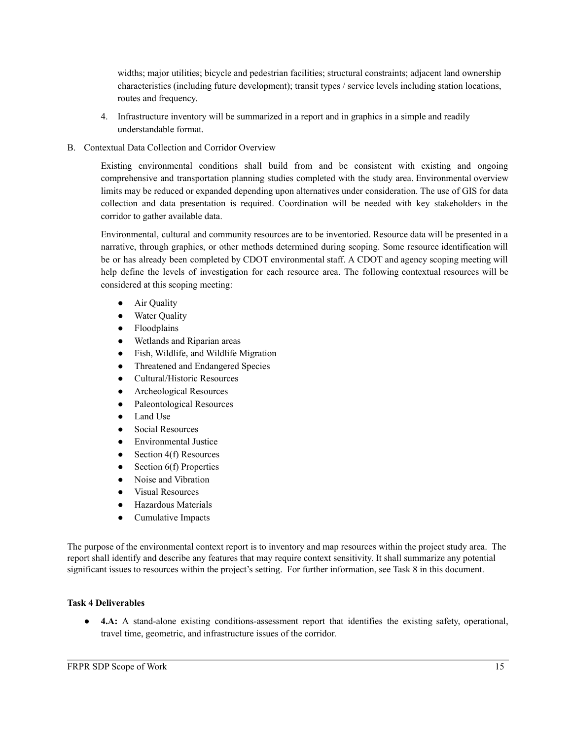widths; major utilities; bicycle and pedestrian facilities; structural constraints; adjacent land ownership characteristics (including future development); transit types / service levels including station locations, routes and frequency.

- 4. Infrastructure inventory will be summarized in a report and in graphics in a simple and readily understandable format.
- B. Contextual Data Collection and Corridor Overview

Existing environmental conditions shall build from and be consistent with existing and ongoing comprehensive and transportation planning studies completed with the study area. Environmental overview limits may be reduced or expanded depending upon alternatives under consideration. The use of GIS for data collection and data presentation is required. Coordination will be needed with key stakeholders in the corridor to gather available data.

Environmental, cultural and community resources are to be inventoried. Resource data will be presented in a narrative, through graphics, or other methods determined during scoping. Some resource identification will be or has already been completed by CDOT environmental staff. A CDOT and agency scoping meeting will help define the levels of investigation for each resource area. The following contextual resources will be considered at this scoping meeting:

- Air Quality
- Water Quality
- Floodplains
- Wetlands and Riparian areas
- Fish, Wildlife, and Wildlife Migration
- Threatened and Endangered Species
- Cultural/Historic Resources
- Archeological Resources
- Paleontological Resources
- Land Use
- Social Resources
- Environmental Justice
- Section  $4(f)$  Resources
- $\bullet$  Section 6(f) Properties
- Noise and Vibration
- Visual Resources
- Hazardous Materials
- Cumulative Impacts

The purpose of the environmental context report is to inventory and map resources within the project study area. The report shall identify and describe any features that may require context sensitivity. It shall summarize any potential significant issues to resources within the project's setting. For further information, see Task 8 in this document.

#### **Task 4 Deliverables**

● **4.A:** A stand-alone existing conditions-assessment report that identifies the existing safety, operational, travel time, geometric, and infrastructure issues of the corridor.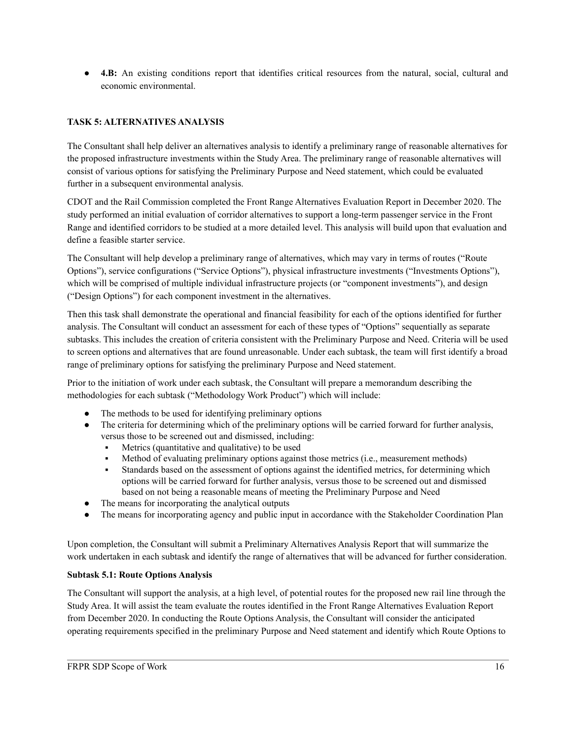● **4.B:** An existing conditions report that identifies critical resources from the natural, social, cultural and economic environmental.

#### **TASK 5: ALTERNATIVES ANALYSIS**

The Consultant shall help deliver an alternatives analysis to identify a preliminary range of reasonable alternatives for the proposed infrastructure investments within the Study Area. The preliminary range of reasonable alternatives will consist of various options for satisfying the Preliminary Purpose and Need statement, which could be evaluated further in a subsequent environmental analysis.

CDOT and the Rail Commission completed the Front Range Alternatives Evaluation Report in December 2020. The study performed an initial evaluation of corridor alternatives to support a long-term passenger service in the Front Range and identified corridors to be studied at a more detailed level. This analysis will build upon that evaluation and define a feasible starter service.

The Consultant will help develop a preliminary range of alternatives, which may vary in terms of routes ("Route Options"), service configurations ("Service Options"), physical infrastructure investments ("Investments Options"), which will be comprised of multiple individual infrastructure projects (or "component investments"), and design ("Design Options") for each component investment in the alternatives.

Then this task shall demonstrate the operational and financial feasibility for each of the options identified for further analysis. The Consultant will conduct an assessment for each of these types of "Options" sequentially as separate subtasks. This includes the creation of criteria consistent with the Preliminary Purpose and Need. Criteria will be used to screen options and alternatives that are found unreasonable. Under each subtask, the team will first identify a broad range of preliminary options for satisfying the preliminary Purpose and Need statement.

Prior to the initiation of work under each subtask, the Consultant will prepare a memorandum describing the methodologies for each subtask ("Methodology Work Product") which will include:

- The methods to be used for identifying preliminary options
- The criteria for determining which of the preliminary options will be carried forward for further analysis, versus those to be screened out and dismissed, including:
	- Metrics (quantitative and qualitative) to be used
	- Method of evaluating preliminary options against those metrics (i.e., measurement methods)
	- Standards based on the assessment of options against the identified metrics, for determining which options will be carried forward for further analysis, versus those to be screened out and dismissed based on not being a reasonable means of meeting the Preliminary Purpose and Need
- The means for incorporating the analytical outputs
- The means for incorporating agency and public input in accordance with the Stakeholder Coordination Plan

Upon completion, the Consultant will submit a Preliminary Alternatives Analysis Report that will summarize the work undertaken in each subtask and identify the range of alternatives that will be advanced for further consideration.

#### **Subtask 5.1: Route Options Analysis**

The Consultant will support the analysis, at a high level, of potential routes for the proposed new rail line through the Study Area. It will assist the team evaluate the routes identified in the Front Range Alternatives Evaluation Report from December 2020. In conducting the Route Options Analysis, the Consultant will consider the anticipated operating requirements specified in the preliminary Purpose and Need statement and identify which Route Options to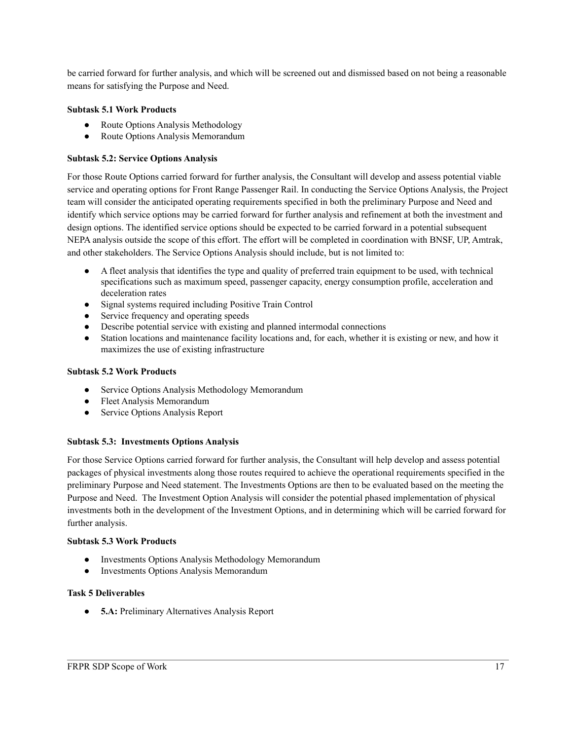be carried forward for further analysis, and which will be screened out and dismissed based on not being a reasonable means for satisfying the Purpose and Need.

#### **Subtask 5.1 Work Products**

- Route Options Analysis Methodology
- Route Options Analysis Memorandum

#### **Subtask 5.2: Service Options Analysis**

For those Route Options carried forward for further analysis, the Consultant will develop and assess potential viable service and operating options for Front Range Passenger Rail. In conducting the Service Options Analysis, the Project team will consider the anticipated operating requirements specified in both the preliminary Purpose and Need and identify which service options may be carried forward for further analysis and refinement at both the investment and design options. The identified service options should be expected to be carried forward in a potential subsequent NEPA analysis outside the scope of this effort. The effort will be completed in coordination with BNSF, UP, Amtrak, and other stakeholders. The Service Options Analysis should include, but is not limited to:

- A fleet analysis that identifies the type and quality of preferred train equipment to be used, with technical specifications such as maximum speed, passenger capacity, energy consumption profile, acceleration and deceleration rates
- Signal systems required including Positive Train Control
- Service frequency and operating speeds
- Describe potential service with existing and planned intermodal connections
- Station locations and maintenance facility locations and, for each, whether it is existing or new, and how it maximizes the use of existing infrastructure

#### **Subtask 5.2 Work Products**

- Service Options Analysis Methodology Memorandum
- Fleet Analysis Memorandum
- Service Options Analysis Report

#### **Subtask 5.3: Investments Options Analysis**

For those Service Options carried forward for further analysis, the Consultant will help develop and assess potential packages of physical investments along those routes required to achieve the operational requirements specified in the preliminary Purpose and Need statement. The Investments Options are then to be evaluated based on the meeting the Purpose and Need. The Investment Option Analysis will consider the potential phased implementation of physical investments both in the development of the Investment Options, and in determining which will be carried forward for further analysis.

#### **Subtask 5.3 Work Products**

- Investments Options Analysis Methodology Memorandum
- Investments Options Analysis Memorandum

#### **Task 5 Deliverables**

● **5.A:** Preliminary Alternatives Analysis Report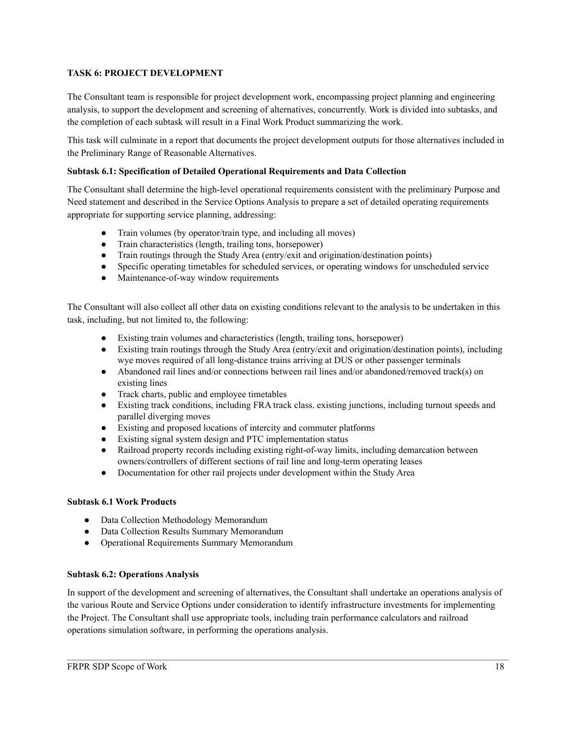#### **TASK 6: PROJECT DEVELOPMENT**

The Consultant team is responsible for project development work, encompassing project planning and engineering analysis, to support the development and screening of alternatives, concurrently. Work is divided into subtasks, and the completion of each subtask will result in a Final Work Product summarizing the work.

This task will culminate in a report that documents the project development outputs for those alternatives included in the Preliminary Range of Reasonable Alternatives.

#### **Subtask 6.1: Specification of Detailed Operational Requirements and Data Collection**

The Consultant shall determine the high-level operational requirements consistent with the preliminary Purpose and Need statement and described in the Service Options Analysis to prepare a set of detailed operating requirements appropriate for supporting service planning, addressing:

- *●* Train volumes (by operator/train type, and including all moves)
- *●* Train characteristics (length, trailing tons, horsepower)
- *●* Train routings through the Study Area (entry/exit and origination/destination points)
- *●* Specific operating timetables for scheduled services, or operating windows for unscheduled service
- *●* Maintenance-of-way window requirements

The Consultant will also collect all other data on existing conditions relevant to the analysis to be undertaken in this task, including, but not limited to, the following:

- *●* Existing train volumes and characteristics (length, trailing tons, horsepower)
- *●* Existing train routings through the Study Area (entry/exit and origination/destination points), including wye moves required of all long-distance trains arriving at DUS or other passenger terminals
- *●* Abandoned rail lines and/or connections between rail lines and/or abandoned/removed track(s) on existing lines
- *●* Track charts, public and employee timetables
- *●* Existing track conditions, including FRA track class. existing junctions, including turnout speeds and parallel diverging moves
- *●* Existing and proposed locations of intercity and commuter platforms
- *●* Existing signal system design and PTC implementation status
- *●* Railroad property records including existing right-of-way limits, including demarcation between owners/controllers of different sections of rail line and long-term operating leases
- *●* Documentation for other rail projects under development within the Study Area

#### **Subtask 6.1 Work Products**

- Data Collection Methodology Memorandum
- Data Collection Results Summary Memorandum
- Operational Requirements Summary Memorandum

#### **Subtask 6.2: Operations Analysis**

In support of the development and screening of alternatives, the Consultant shall undertake an operations analysis of the various Route and Service Options under consideration to identify infrastructure investments for implementing the Project. The Consultant shall use appropriate tools, including train performance calculators and railroad operations simulation software, in performing the operations analysis.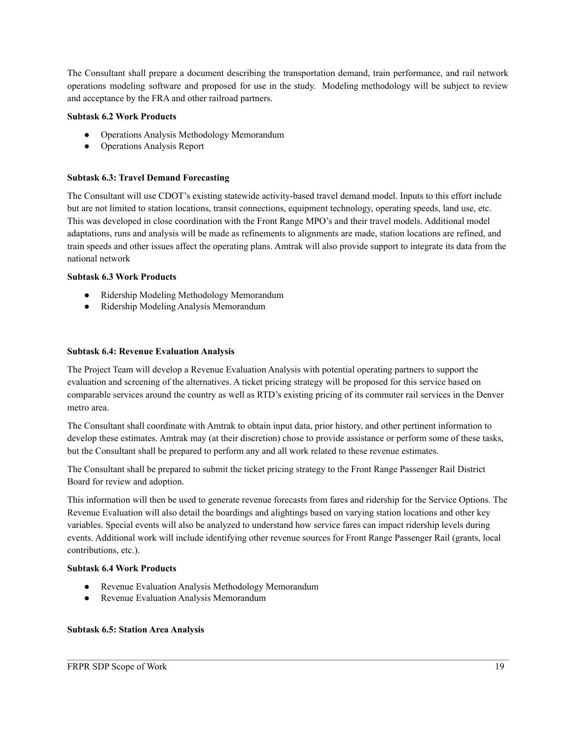The Consultant shall prepare a document describing the transportation demand, train performance, and rail network operations modeling software and proposed for use in the study. Modeling methodology will be subject to review and acceptance by the FRA and other railroad partners.

#### **Subtask 6.2 Work Products**

- Operations Analysis Methodology Memorandum
- Operations Analysis Report

#### **Subtask 6.3: Travel Demand Forecasting**

The Consultant will use CDOT's existing statewide activity-based travel demand model. Inputs to this effort include but are not limited to station locations, transit connections, equipment technology, operating speeds, land use, etc. This was developed in close coordination with the Front Range MPO's and their travel models. Additional model adaptations, runs and analysis will be made as refinements to alignments are made, station locations are refined, and train speeds and other issues affect the operating plans. Amtrak will also provide support to integrate its data from the national network

#### **Subtask 6.3 Work Products**

- Ridership Modeling Methodology Memorandum
- Ridership Modeling Analysis Memorandum

#### **Subtask 6.4: Revenue Evaluation Analysis**

The Project Team will develop a Revenue Evaluation Analysis with potential operating partners to support the evaluation and screening of the alternatives. A ticket pricing strategy will be proposed for this service based on comparable services around the country as well as RTD's existing pricing of its commuter rail services in the Denver metro area.

The Consultant shall coordinate with Amtrak to obtain input data, prior history, and other pertinent information to develop these estimates. Amtrak may (at their discretion) chose to provide assistance or perform some of these tasks, but the Consultant shall be prepared to perform any and all work related to these revenue estimates.

The Consultant shall be prepared to submit the ticket pricing strategy to the Front Range Passenger Rail District Board for review and adoption.

This information will then be used to generate revenue forecasts from fares and ridership for the Service Options. The Revenue Evaluation will also detail the boardings and alightings based on varying station locations and other key variables. Special events will also be analyzed to understand how service fares can impact ridership levels during events. Additional work will include identifying other revenue sources for Front Range Passenger Rail (grants, local contributions, etc.).

#### **Subtask 6.4 Work Products**

- Revenue Evaluation Analysis Methodology Memorandum
- Revenue Evaluation Analysis Memorandum

#### **Subtask 6.5: Station Area Analysis**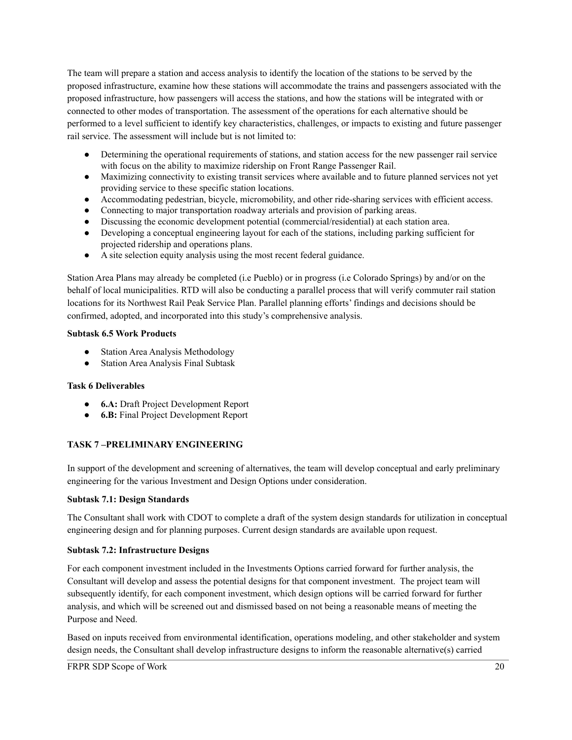The team will prepare a station and access analysis to identify the location of the stations to be served by the proposed infrastructure, examine how these stations will accommodate the trains and passengers associated with the proposed infrastructure, how passengers will access the stations, and how the stations will be integrated with or connected to other modes of transportation. The assessment of the operations for each alternative should be performed to a level sufficient to identify key characteristics, challenges, or impacts to existing and future passenger rail service. The assessment will include but is not limited to:

- Determining the operational requirements of stations, and station access for the new passenger rail service with focus on the ability to maximize ridership on Front Range Passenger Rail.
- Maximizing connectivity to existing transit services where available and to future planned services not yet providing service to these specific station locations.
- Accommodating pedestrian, bicycle, micromobility, and other ride-sharing services with efficient access.
- Connecting to major transportation roadway arterials and provision of parking areas.
- Discussing the economic development potential (commercial/residential) at each station area.
- Developing a conceptual engineering layout for each of the stations, including parking sufficient for projected ridership and operations plans.
- A site selection equity analysis using the most recent federal guidance.

Station Area Plans may already be completed (i.e Pueblo) or in progress (i.e Colorado Springs) by and/or on the behalf of local municipalities. RTD will also be conducting a parallel process that will verify commuter rail station locations for its Northwest Rail Peak Service Plan. Parallel planning efforts' findings and decisions should be confirmed, adopted, and incorporated into this study's comprehensive analysis.

#### **Subtask 6.5 Work Products**

- Station Area Analysis Methodology
- Station Area Analysis Final Subtask

#### **Task 6 Deliverables**

- **6.A:** Draft Project Development Report
- **6.B:** Final Project Development Report

#### **TASK 7 –PRELIMINARY ENGINEERING**

In support of the development and screening of alternatives, the team will develop conceptual and early preliminary engineering for the various Investment and Design Options under consideration.

#### **Subtask 7.1: Design Standards**

The Consultant shall work with CDOT to complete a draft of the system design standards for utilization in conceptual engineering design and for planning purposes. Current design standards are available upon request.

#### **Subtask 7.2: Infrastructure Designs**

For each component investment included in the Investments Options carried forward for further analysis, the Consultant will develop and assess the potential designs for that component investment. The project team will subsequently identify, for each component investment, which design options will be carried forward for further analysis, and which will be screened out and dismissed based on not being a reasonable means of meeting the Purpose and Need.

Based on inputs received from environmental identification, operations modeling, and other stakeholder and system design needs, the Consultant shall develop infrastructure designs to inform the reasonable alternative(s) carried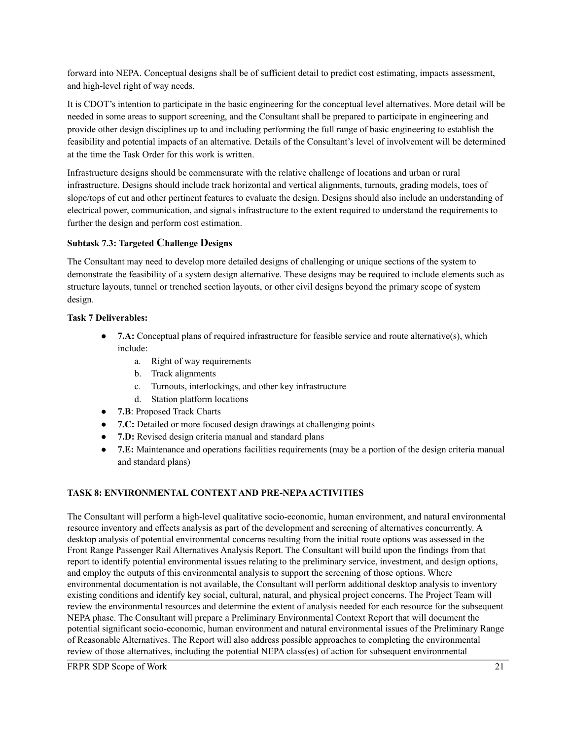forward into NEPA. Conceptual designs shall be of sufficient detail to predict cost estimating, impacts assessment, and high-level right of way needs.

It is CDOT's intention to participate in the basic engineering for the conceptual level alternatives. More detail will be needed in some areas to support screening, and the Consultant shall be prepared to participate in engineering and provide other design disciplines up to and including performing the full range of basic engineering to establish the feasibility and potential impacts of an alternative. Details of the Consultant's level of involvement will be determined at the time the Task Order for this work is written.

Infrastructure designs should be commensurate with the relative challenge of locations and urban or rural infrastructure. Designs should include track horizontal and vertical alignments, turnouts, grading models, toes of slope/tops of cut and other pertinent features to evaluate the design. Designs should also include an understanding of electrical power, communication, and signals infrastructure to the extent required to understand the requirements to further the design and perform cost estimation.

#### **Subtask 7.3: Targeted Challenge Designs**

The Consultant may need to develop more detailed designs of challenging or unique sections of the system to demonstrate the feasibility of a system design alternative. These designs may be required to include elements such as structure layouts, tunnel or trenched section layouts, or other civil designs beyond the primary scope of system design.

#### **Task 7 Deliverables:**

- **7.A:** Conceptual plans of required infrastructure for feasible service and route alternative(s), which include:
	- a. Right of way requirements
	- b. Track alignments
	- c. Turnouts, interlockings, and other key infrastructure
	- d. Station platform locations
- **7.B**: Proposed Track Charts
- **7.C:** Detailed or more focused design drawings at challenging points
- **7.D:** Revised design criteria manual and standard plans
- **7.E:** Maintenance and operations facilities requirements (may be a portion of the design criteria manual and standard plans)

### **TASK 8: ENVIRONMENTAL CONTEXT AND PRE-NEPAACTIVITIES**

The Consultant will perform a high-level qualitative socio-economic, human environment, and natural environmental resource inventory and effects analysis as part of the development and screening of alternatives concurrently. A desktop analysis of potential environmental concerns resulting from the initial route options was assessed in the Front Range Passenger Rail Alternatives Analysis Report. The Consultant will build upon the findings from that report to identify potential environmental issues relating to the preliminary service, investment, and design options, and employ the outputs of this environmental analysis to support the screening of those options. Where environmental documentation is not available, the Consultant will perform additional desktop analysis to inventory existing conditions and identify key social, cultural, natural, and physical project concerns. The Project Team will review the environmental resources and determine the extent of analysis needed for each resource for the subsequent NEPA phase. The Consultant will prepare a Preliminary Environmental Context Report that will document the potential significant socio-economic, human environment and natural environmental issues of the Preliminary Range of Reasonable Alternatives. The Report will also address possible approaches to completing the environmental review of those alternatives, including the potential NEPA class(es) of action for subsequent environmental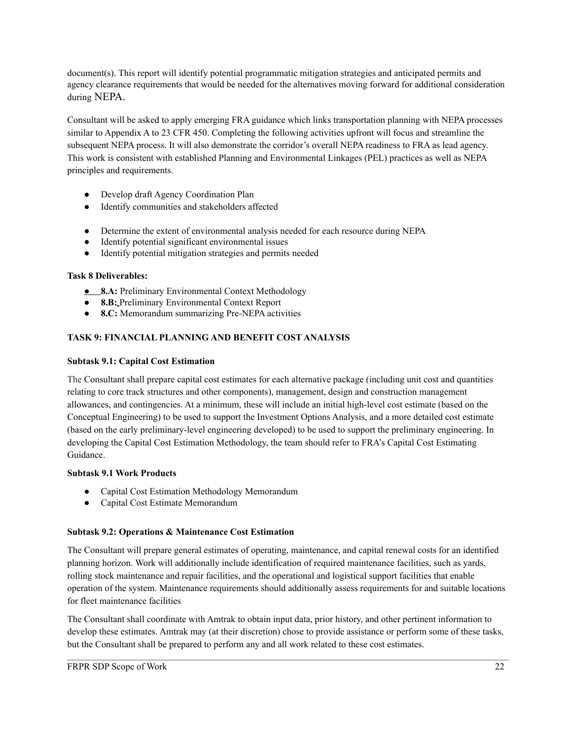document(s). This report will identify potential programmatic mitigation strategies and anticipated permits and agency clearance requirements that would be needed for the alternatives moving forward for additional consideration during NEPA.

Consultant will be asked to apply emerging FRA guidance which links transportation planning with NEPA processes similar to Appendix A to 23 CFR 450. Completing the following activities upfront will focus and streamline the subsequent NEPA process. It will also demonstrate the corridor's overall NEPA readiness to FRA as lead agency. This work is consistent with established Planning and Environmental Linkages (PEL) practices as well as NEPA principles and requirements.

- Develop draft Agency Coordination Plan
- Identify communities and stakeholders affected
- Determine the extent of environmental analysis needed for each resource during NEPA
- Identify potential significant environmental issues
- Identify potential mitigation strategies and permits needed

#### **Task 8 Deliverables:**

- *●* **8.A:** Preliminary Environmental Context Methodology
- **8.B:** Preliminary Environmental Context Report
- **8.C:** Memorandum summarizing Pre-NEPA activities

#### **TASK 9: FINANCIAL PLANNING AND BENEFIT COST ANALYSIS**

#### **Subtask 9.1: Capital Cost Estimation**

The Consultant shall prepare capital cost estimates for each alternative package (including unit cost and quantities relating to core track structures and other components), management, design and construction management allowances, and contingencies. At a minimum, these will include an initial high-level cost estimate (based on the Conceptual Engineering) to be used to support the Investment Options Analysis, and a more detailed cost estimate (based on the early preliminary-level engineering developed) to be used to support the preliminary engineering. In developing the Capital Cost Estimation Methodology, the team should refer to FRA's Capital Cost Estimating Guidance.

#### **Subtask 9.1 Work Products**

- Capital Cost Estimation Methodology Memorandum
- Capital Cost Estimate Memorandum

#### **Subtask 9.2: Operations & Maintenance Cost Estimation**

The Consultant will prepare general estimates of operating, maintenance, and capital renewal costs for an identified planning horizon. Work will additionally include identification of required maintenance facilities, such as yards, rolling stock maintenance and repair facilities, and the operational and logistical support facilities that enable operation of the system. Maintenance requirements should additionally assess requirements for and suitable locations for fleet maintenance facilities

The Consultant shall coordinate with Amtrak to obtain input data, prior history, and other pertinent information to develop these estimates. Amtrak may (at their discretion) chose to provide assistance or perform some of these tasks, but the Consultant shall be prepared to perform any and all work related to these cost estimates.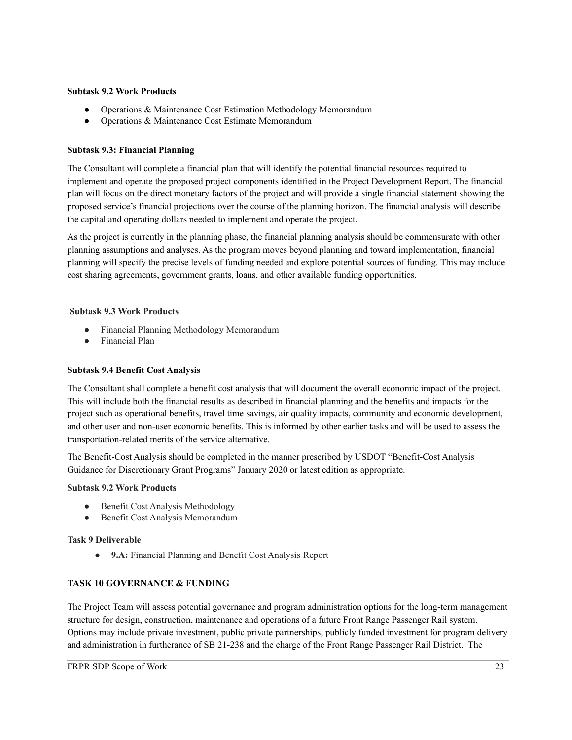#### **Subtask 9.2 Work Products**

- Operations & Maintenance Cost Estimation Methodology Memorandum
- Operations & Maintenance Cost Estimate Memorandum

#### **Subtask 9.3: Financial Planning**

The Consultant will complete a financial plan that will identify the potential financial resources required to implement and operate the proposed project components identified in the Project Development Report. The financial plan will focus on the direct monetary factors of the project and will provide a single financial statement showing the proposed service's financial projections over the course of the planning horizon. The financial analysis will describe the capital and operating dollars needed to implement and operate the project.

As the project is currently in the planning phase, the financial planning analysis should be commensurate with other planning assumptions and analyses. As the program moves beyond planning and toward implementation, financial planning will specify the precise levels of funding needed and explore potential sources of funding. This may include cost sharing agreements, government grants, loans, and other available funding opportunities.

#### **Subtask 9.3 Work Products**

- Financial Planning Methodology Memorandum
- Financial Plan

#### **Subtask 9.4 Benefit Cost Analysis**

The Consultant shall complete a benefit cost analysis that will document the overall economic impact of the project. This will include both the financial results as described in financial planning and the benefits and impacts for the project such as operational benefits, travel time savings, air quality impacts, community and economic development, and other user and non-user economic benefits. This is informed by other earlier tasks and will be used to assess the transportation-related merits of the service alternative.

The Benefit-Cost Analysis should be completed in the manner prescribed by USDOT "Benefit-Cost Analysis Guidance for Discretionary Grant Programs" January 2020 or latest edition as appropriate.

#### **Subtask 9.2 Work Products**

- Benefit Cost Analysis Methodology
- Benefit Cost Analysis Memorandum

#### **Task 9 Deliverable**

● **9.A:** Financial Planning and Benefit Cost Analysis Report

#### **TASK 10 GOVERNANCE & FUNDING**

The Project Team will assess potential governance and program administration options for the long-term management structure for design, construction, maintenance and operations of a future Front Range Passenger Rail system. Options may include private investment, public private partnerships, publicly funded investment for program delivery and administration in furtherance of SB 21-238 and the charge of the Front Range Passenger Rail District. The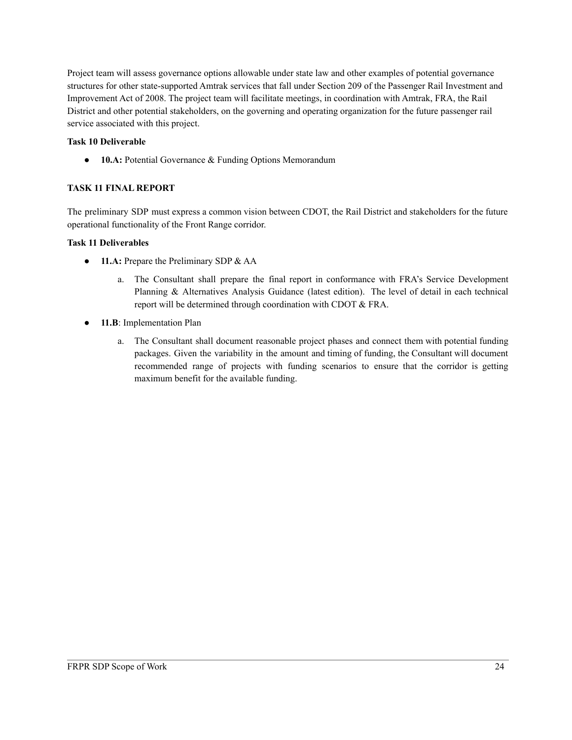Project team will assess governance options allowable under state law and other examples of potential governance structures for other state-supported Amtrak services that fall under Section 209 of the Passenger Rail Investment and Improvement Act of 2008. The project team will facilitate meetings, in coordination with Amtrak, FRA, the Rail District and other potential stakeholders, on the governing and operating organization for the future passenger rail service associated with this project.

#### **Task 10 Deliverable**

● **10.A:** Potential Governance & Funding Options Memorandum

#### **TASK 11 FINAL REPORT**

The preliminary SDP must express a common vision between CDOT, the Rail District and stakeholders for the future operational functionality of the Front Range corridor.

#### **Task 11 Deliverables**

- **11.A:** Prepare the Preliminary SDP & AA
	- a. The Consultant shall prepare the final report in conformance with FRA's Service Development Planning & Alternatives Analysis Guidance (latest edition). The level of detail in each technical report will be determined through coordination with CDOT & FRA.
- 11.B: Implementation Plan
	- a. The Consultant shall document reasonable project phases and connect them with potential funding packages. Given the variability in the amount and timing of funding, the Consultant will document recommended range of projects with funding scenarios to ensure that the corridor is getting maximum benefit for the available funding.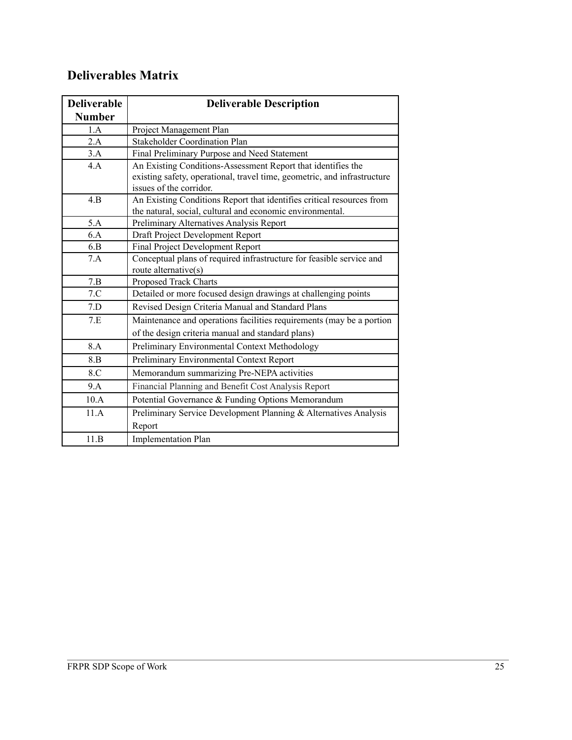## **Deliverables Matrix**

| <b>Deliverable</b> | <b>Deliverable Description</b>                                           |
|--------------------|--------------------------------------------------------------------------|
| <b>Number</b>      |                                                                          |
| 1.A                | Project Management Plan                                                  |
| 2.A                | <b>Stakeholder Coordination Plan</b>                                     |
| 3.A                | Final Preliminary Purpose and Need Statement                             |
| 4.A                | An Existing Conditions-Assessment Report that identifies the             |
|                    | existing safety, operational, travel time, geometric, and infrastructure |
|                    | issues of the corridor.                                                  |
| 4.B                | An Existing Conditions Report that identifies critical resources from    |
|                    | the natural, social, cultural and economic environmental.                |
| 5.A                | Preliminary Alternatives Analysis Report                                 |
| 6.A                | Draft Project Development Report                                         |
| 6.B                | Final Project Development Report                                         |
| 7.A                | Conceptual plans of required infrastructure for feasible service and     |
|                    | route alternative(s)                                                     |
| 7.B                | Proposed Track Charts                                                    |
| 7.C                | Detailed or more focused design drawings at challenging points           |
| 7.D                | Revised Design Criteria Manual and Standard Plans                        |
| 7.E                | Maintenance and operations facilities requirements (may be a portion     |
|                    | of the design criteria manual and standard plans)                        |
| 8.A                | Preliminary Environmental Context Methodology                            |
| 8.B                | Preliminary Environmental Context Report                                 |
| 8.C                | Memorandum summarizing Pre-NEPA activities                               |
| 9.A                | Financial Planning and Benefit Cost Analysis Report                      |
| 10.A               | Potential Governance & Funding Options Memorandum                        |
| 11.A               | Preliminary Service Development Planning & Alternatives Analysis         |
|                    | Report                                                                   |
| 11.B               | <b>Implementation Plan</b>                                               |